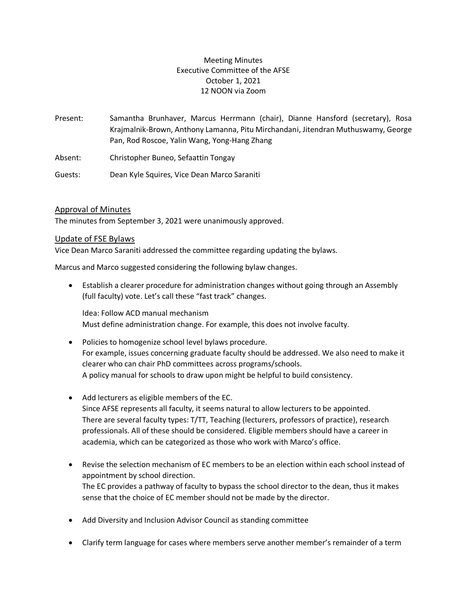# Meeting Minutes Executive Committee of the AFSE October 1, 2021 12 NOON via Zoom

Present: Samantha Brunhaver, Marcus Herrmann (chair), Dianne Hansford (secretary), Rosa Krajmalnik-Brown, Anthony Lamanna, Pitu Mirchandani, Jitendran Muthuswamy, George Pan, Rod Roscoe, Yalin Wang, Yong-Hang Zhang

Absent: Christopher Buneo, Sefaattin Tongay

Guests: Dean Kyle Squires, Vice Dean Marco Saraniti

## Approval of Minutes

The minutes from September 3, 2021 were unanimously approved.

## Update of FSE Bylaws

Vice Dean Marco Saraniti addressed the committee regarding updating the bylaws.

Marcus and Marco suggested considering the following bylaw changes.

• Establish a clearer procedure for administration changes without going through an Assembly (full faculty) vote. Let's call these "fast track" changes.

Idea: Follow ACD manual mechanism Must define administration change. For example, this does not involve faculty.

- Policies to homogenize school level bylaws procedure. For example, issues concerning graduate faculty should be addressed. We also need to make it clearer who can chair PhD committees across programs/schools. A policy manual for schools to draw upon might be helpful to build consistency.
- Add lecturers as eligible members of the EC. Since AFSE represents all faculty, it seems natural to allow lecturers to be appointed. There are several faculty types: T/TT, Teaching (lecturers, professors of practice), research professionals. All of these should be considered. Eligible members should have a career in academia, which can be categorized as those who work with Marco's office.
- Revise the selection mechanism of EC members to be an election within each school instead of appointment by school direction. The EC provides a pathway of faculty to bypass the school director to the dean, thus it makes sense that the choice of EC member should not be made by the director.
- Add Diversity and Inclusion Advisor Council as standing committee
- Clarify term language for cases where members serve another member's remainder of a term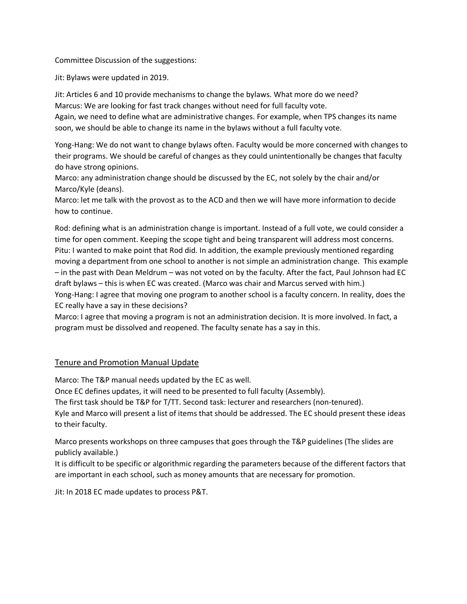Committee Discussion of the suggestions:

Jit: Bylaws were updated in 2019.

Jit: Articles 6 and 10 provide mechanisms to change the bylaws. What more do we need? Marcus: We are looking for fast track changes without need for full faculty vote.

Again, we need to define what are administrative changes. For example, when TPS changes its name soon, we should be able to change its name in the bylaws without a full faculty vote.

Yong-Hang: We do not want to change bylaws often. Faculty would be more concerned with changes to their programs. We should be careful of changes as they could unintentionally be changes that faculty do have strong opinions.

Marco: any administration change should be discussed by the EC, not solely by the chair and/or Marco/Kyle (deans).

Marco: let me talk with the provost as to the ACD and then we will have more information to decide how to continue.

Rod: defining what is an administration change is important. Instead of a full vote, we could consider a time for open comment. Keeping the scope tight and being transparent will address most concerns. Pitu: I wanted to make point that Rod did. In addition, the example previously mentioned regarding moving a department from one school to another is not simple an administration change. This example – in the past with Dean Meldrum – was not voted on by the faculty. After the fact, Paul Johnson had EC draft bylaws – this is when EC was created. (Marco was chair and Marcus served with him.) Yong-Hang: I agree that moving one program to another school is a faculty concern. In reality, does the EC really have a say in these decisions?

Marco: I agree that moving a program is not an administration decision. It is more involved. In fact, a program must be dissolved and reopened. The faculty senate has a say in this.

## Tenure and Promotion Manual Update

Marco: The T&P manual needs updated by the EC as well.

Once EC defines updates, it will need to be presented to full faculty (Assembly).

The first task should be T&P for T/TT. Second task: lecturer and researchers (non-tenured).

Kyle and Marco will present a list of items that should be addressed. The EC should present these ideas to their faculty.

Marco presents workshops on three campuses that goes through the T&P guidelines (The slides are publicly available.)

It is difficult to be specific or algorithmic regarding the parameters because of the different factors that are important in each school, such as money amounts that are necessary for promotion.

Jit: In 2018 EC made updates to process P&T.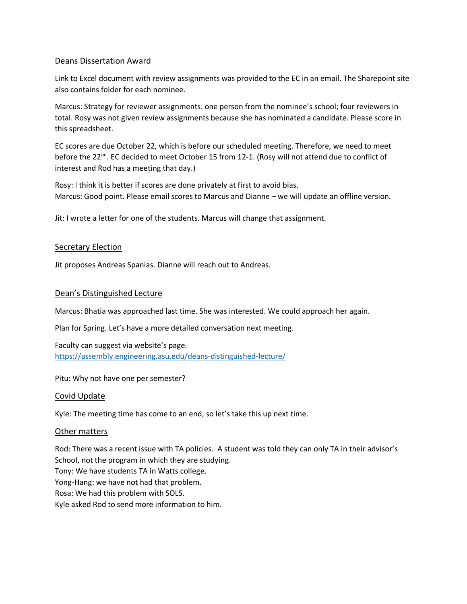### Deans Dissertation Award

Link to Excel document with review assignments was provided to the EC in an email. The Sharepoint site also contains folder for each nominee.

Marcus: Strategy for reviewer assignments: one person from the nominee's school; four reviewers in total. Rosy was not given review assignments because she has nominated a candidate. Please score in this spreadsheet.

EC scores are due October 22, which is before our scheduled meeting. Therefore, we need to meet before the 22<sup>nd</sup>. EC decided to meet October 15 from 12-1. (Rosy will not attend due to conflict of interest and Rod has a meeting that day.)

Rosy: I think it is better if scores are done privately at first to avoid bias. Marcus: Good point. Please email scores to Marcus and Dianne – we will update an offline version.

Jit: I wrote a letter for one of the students. Marcus will change that assignment.

### **Secretary Election**

Jit proposes Andreas Spanias. Dianne will reach out to Andreas.

### Dean's Distinguished Lecture

Marcus: Bhatia was approached last time. She was interested. We could approach her again.

Plan for Spring. Let's have a more detailed conversation next meeting.

Faculty can suggest via website's page. <https://assembly.engineering.asu.edu/deans-distinguished-lecture/>

Pitu: Why not have one per semester?

#### Covid Update

Kyle: The meeting time has come to an end, so let's take this up next time.

#### Other matters

Rod: There was a recent issue with TA policies. A student was told they can only TA in their advisor's School, not the program in which they are studying. Tony: We have students TA in Watts college. Yong-Hang: we have not had that problem. Rosa: We had this problem with SOLS. Kyle asked Rod to send more information to him.